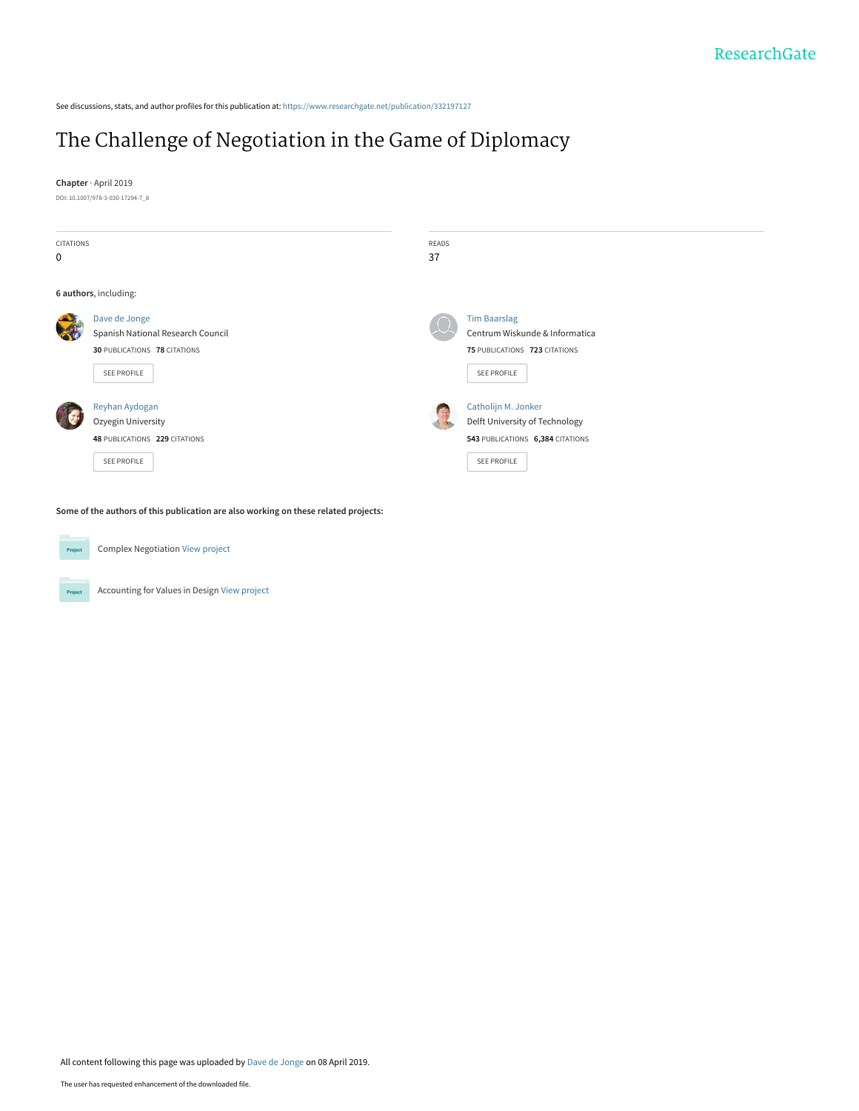See discussions, stats, and author profiles for this publication at: [https://www.researchgate.net/publication/332197127](https://www.researchgate.net/publication/332197127_The_Challenge_of_Negotiation_in_the_Game_of_Diplomacy?enrichId=rgreq-a18f3be0998da7dc5c4888f63b7fd77f-XXX&enrichSource=Y292ZXJQYWdlOzMzMjE5NzEyNztBUzo3NDU0NzMyODc2NzE4MTdAMTU1NDc0NjA5MDU4Mw%3D%3D&el=1_x_2&_esc=publicationCoverPdf)

# [The Challenge of Negotiation in the Game of Diplomacy](https://www.researchgate.net/publication/332197127_The_Challenge_of_Negotiation_in_the_Game_of_Diplomacy?enrichId=rgreq-a18f3be0998da7dc5c4888f63b7fd77f-XXX&enrichSource=Y292ZXJQYWdlOzMzMjE5NzEyNztBUzo3NDU0NzMyODc2NzE4MTdAMTU1NDc0NjA5MDU4Mw%3D%3D&el=1_x_3&_esc=publicationCoverPdf)

**Chapter** · April 2019





**Some of the authors of this publication are also working on these related projects:**



Project

Complex Negotiation [View project](https://www.researchgate.net/project/Complex-Negotiation?enrichId=rgreq-a18f3be0998da7dc5c4888f63b7fd77f-XXX&enrichSource=Y292ZXJQYWdlOzMzMjE5NzEyNztBUzo3NDU0NzMyODc2NzE4MTdAMTU1NDc0NjA5MDU4Mw%3D%3D&el=1_x_9&_esc=publicationCoverPdf)

Accounting for Values in Design [View project](https://www.researchgate.net/project/Accounting-for-Values-in-Design?enrichId=rgreq-a18f3be0998da7dc5c4888f63b7fd77f-XXX&enrichSource=Y292ZXJQYWdlOzMzMjE5NzEyNztBUzo3NDU0NzMyODc2NzE4MTdAMTU1NDc0NjA5MDU4Mw%3D%3D&el=1_x_9&_esc=publicationCoverPdf)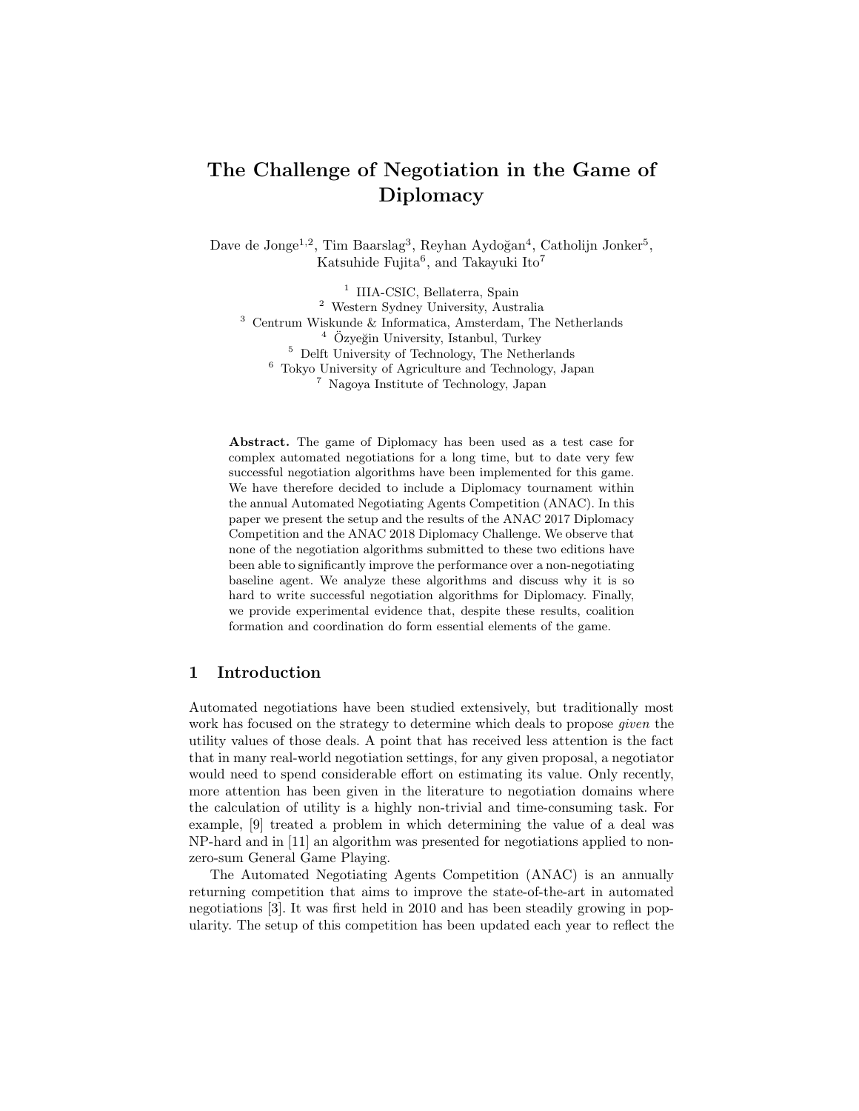## The Challenge of Negotiation in the Game of Diplomacy

Dave de Jonge<sup>1,2</sup>, Tim Baarslag<sup>3</sup>, Reyhan Aydoğan<sup>4</sup>, Catholijn Jonker<sup>5</sup>, Katsuhide Fujita $^6$ , and Takayuki Ito<sup>7</sup>

<sup>1</sup> IIIA-CSIC, Bellaterra, Spain Western Sydney University, Australia Centrum Wiskunde & Informatica, Amsterdam, The Netherlands  $4\,$  Özyeğin University, Istanbul, Turkey Delft University of Technology, The Netherlands Tokyo University of Agriculture and Technology, Japan Nagoya Institute of Technology, Japan

Abstract. The game of Diplomacy has been used as a test case for complex automated negotiations for a long time, but to date very few successful negotiation algorithms have been implemented for this game. We have therefore decided to include a Diplomacy tournament within the annual Automated Negotiating Agents Competition (ANAC). In this paper we present the setup and the results of the ANAC 2017 Diplomacy Competition and the ANAC 2018 Diplomacy Challenge. We observe that none of the negotiation algorithms submitted to these two editions have been able to significantly improve the performance over a non-negotiating baseline agent. We analyze these algorithms and discuss why it is so hard to write successful negotiation algorithms for Diplomacy. Finally, we provide experimental evidence that, despite these results, coalition formation and coordination do form essential elements of the game.

## 1 Introduction

Automated negotiations have been studied extensively, but traditionally most work has focused on the strategy to determine which deals to propose *given* the utility values of those deals. A point that has received less attention is the fact that in many real-world negotiation settings, for any given proposal, a negotiator would need to spend considerable effort on estimating its value. Only recently, more attention has been given in the literature to negotiation domains where the calculation of utility is a highly non-trivial and time-consuming task. For example, [9] treated a problem in which determining the value of a deal was NP-hard and in [11] an algorithm was presented for negotiations applied to nonzero-sum General Game Playing.

The Automated Negotiating Agents Competition (ANAC) is an annually returning competition that aims to improve the state-of-the-art in automated negotiations [3]. It was first held in 2010 and has been steadily growing in popularity. The setup of this competition has been updated each year to reflect the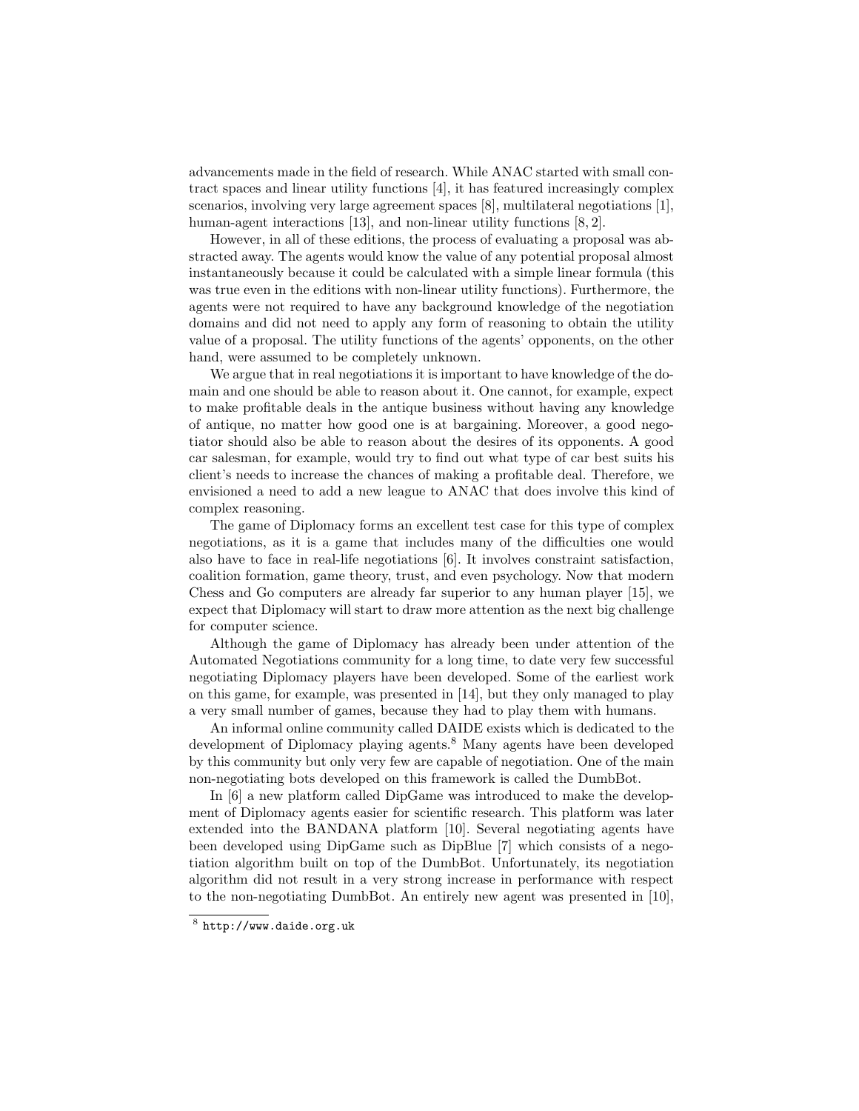advancements made in the field of research. While ANAC started with small contract spaces and linear utility functions [4], it has featured increasingly complex scenarios, involving very large agreement spaces [8], multilateral negotiations [1], human-agent interactions [13], and non-linear utility functions [8, 2].

However, in all of these editions, the process of evaluating a proposal was abstracted away. The agents would know the value of any potential proposal almost instantaneously because it could be calculated with a simple linear formula (this was true even in the editions with non-linear utility functions). Furthermore, the agents were not required to have any background knowledge of the negotiation domains and did not need to apply any form of reasoning to obtain the utility value of a proposal. The utility functions of the agents' opponents, on the other hand, were assumed to be completely unknown.

We argue that in real negotiations it is important to have knowledge of the domain and one should be able to reason about it. One cannot, for example, expect to make profitable deals in the antique business without having any knowledge of antique, no matter how good one is at bargaining. Moreover, a good negotiator should also be able to reason about the desires of its opponents. A good car salesman, for example, would try to find out what type of car best suits his client's needs to increase the chances of making a profitable deal. Therefore, we envisioned a need to add a new league to ANAC that does involve this kind of complex reasoning.

The game of Diplomacy forms an excellent test case for this type of complex negotiations, as it is a game that includes many of the difficulties one would also have to face in real-life negotiations [6]. It involves constraint satisfaction, coalition formation, game theory, trust, and even psychology. Now that modern Chess and Go computers are already far superior to any human player [15], we expect that Diplomacy will start to draw more attention as the next big challenge for computer science.

Although the game of Diplomacy has already been under attention of the Automated Negotiations community for a long time, to date very few successful negotiating Diplomacy players have been developed. Some of the earliest work on this game, for example, was presented in [14], but they only managed to play a very small number of games, because they had to play them with humans.

An informal online community called DAIDE exists which is dedicated to the development of Diplomacy playing agents.<sup>8</sup> Many agents have been developed by this community but only very few are capable of negotiation. One of the main non-negotiating bots developed on this framework is called the DumbBot.

In [6] a new platform called DipGame was introduced to make the development of Diplomacy agents easier for scientific research. This platform was later extended into the BANDANA platform [10]. Several negotiating agents have been developed using DipGame such as DipBlue [7] which consists of a negotiation algorithm built on top of the DumbBot. Unfortunately, its negotiation algorithm did not result in a very strong increase in performance with respect to the non-negotiating DumbBot. An entirely new agent was presented in [10],

 $^8$  http://www.daide.org.uk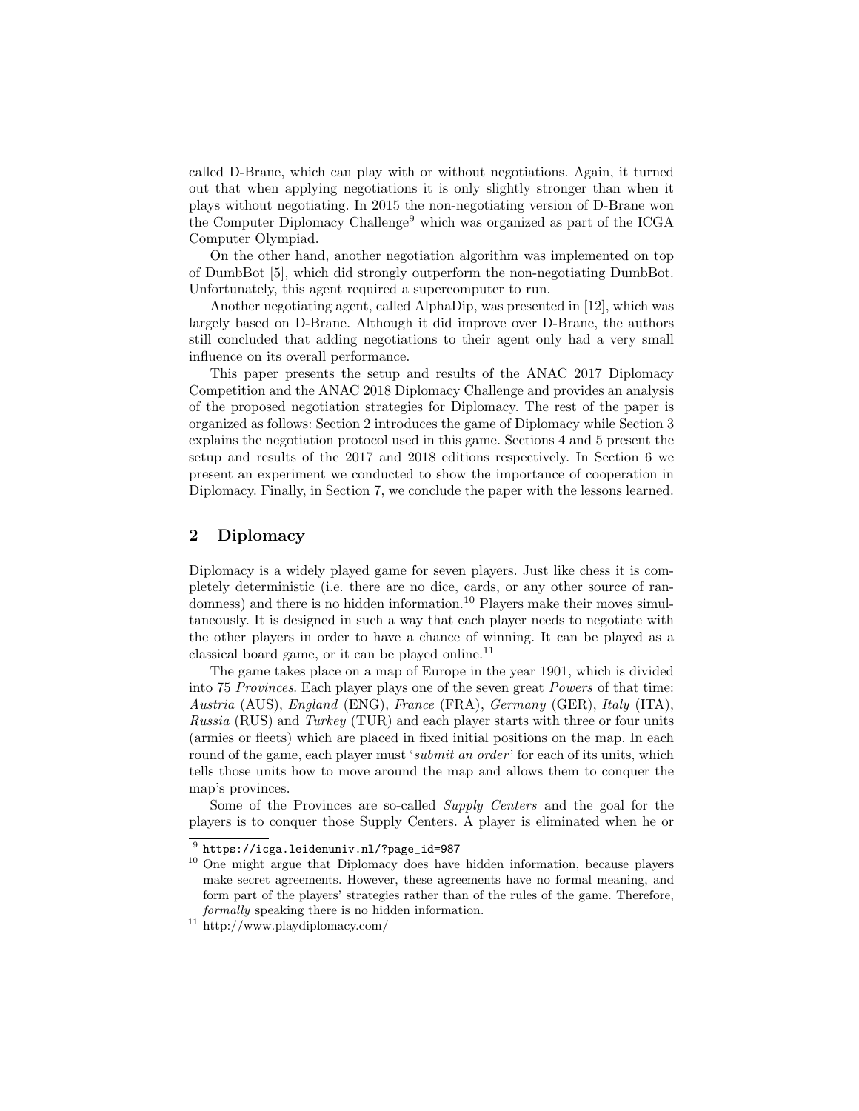called D-Brane, which can play with or without negotiations. Again, it turned out that when applying negotiations it is only slightly stronger than when it plays without negotiating. In 2015 the non-negotiating version of D-Brane won the Computer Diplomacy Challenge<sup>9</sup> which was organized as part of the ICGA Computer Olympiad.

On the other hand, another negotiation algorithm was implemented on top of DumbBot [5], which did strongly outperform the non-negotiating DumbBot. Unfortunately, this agent required a supercomputer to run.

Another negotiating agent, called AlphaDip, was presented in [12], which was largely based on D-Brane. Although it did improve over D-Brane, the authors still concluded that adding negotiations to their agent only had a very small influence on its overall performance.

This paper presents the setup and results of the ANAC 2017 Diplomacy Competition and the ANAC 2018 Diplomacy Challenge and provides an analysis of the proposed negotiation strategies for Diplomacy. The rest of the paper is organized as follows: Section 2 introduces the game of Diplomacy while Section 3 explains the negotiation protocol used in this game. Sections 4 and 5 present the setup and results of the 2017 and 2018 editions respectively. In Section 6 we present an experiment we conducted to show the importance of cooperation in Diplomacy. Finally, in Section 7, we conclude the paper with the lessons learned.

## 2 Diplomacy

Diplomacy is a widely played game for seven players. Just like chess it is completely deterministic (i.e. there are no dice, cards, or any other source of randomness) and there is no hidden information.<sup>10</sup> Players make their moves simultaneously. It is designed in such a way that each player needs to negotiate with the other players in order to have a chance of winning. It can be played as a classical board game, or it can be played online. $^{11}$ 

The game takes place on a map of Europe in the year 1901, which is divided into 75 Provinces. Each player plays one of the seven great Powers of that time: Austria (AUS), England (ENG), France (FRA), Germany (GER), Italy (ITA), Russia (RUS) and Turkey (TUR) and each player starts with three or four units (armies or fleets) which are placed in fixed initial positions on the map. In each round of the game, each player must 'submit an order' for each of its units, which tells those units how to move around the map and allows them to conquer the map's provinces.

Some of the Provinces are so-called Supply Centers and the goal for the players is to conquer those Supply Centers. A player is eliminated when he or

 $^9$  https://icga.leidenuniv.nl/?page\_id=987

<sup>&</sup>lt;sup>10</sup> One might argue that Diplomacy does have hidden information, because players make secret agreements. However, these agreements have no formal meaning, and form part of the players' strategies rather than of the rules of the game. Therefore, formally speaking there is no hidden information.

<sup>11</sup> http://www.playdiplomacy.com/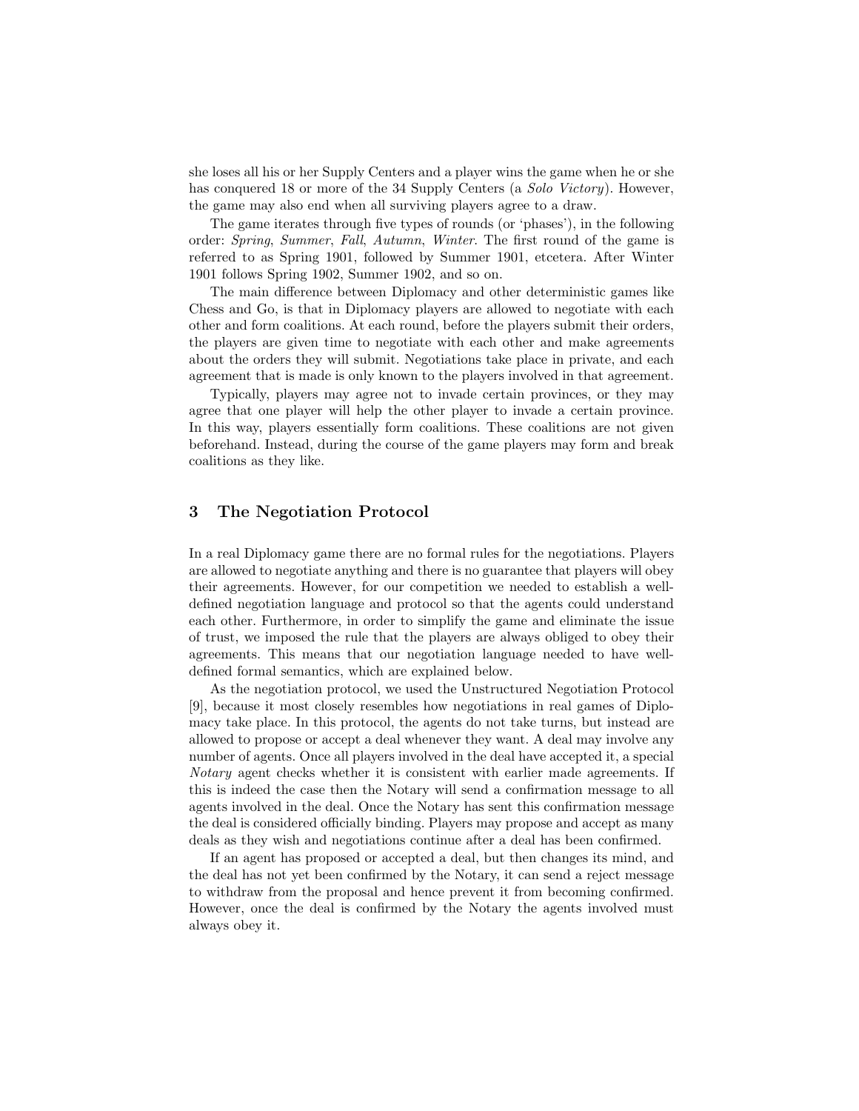she loses all his or her Supply Centers and a player wins the game when he or she has conquered 18 or more of the 34 Supply Centers (a *Solo Victory*). However, the game may also end when all surviving players agree to a draw.

The game iterates through five types of rounds (or 'phases'), in the following order: Spring, Summer, Fall, Autumn, Winter. The first round of the game is referred to as Spring 1901, followed by Summer 1901, etcetera. After Winter 1901 follows Spring 1902, Summer 1902, and so on.

The main difference between Diplomacy and other deterministic games like Chess and Go, is that in Diplomacy players are allowed to negotiate with each other and form coalitions. At each round, before the players submit their orders, the players are given time to negotiate with each other and make agreements about the orders they will submit. Negotiations take place in private, and each agreement that is made is only known to the players involved in that agreement.

Typically, players may agree not to invade certain provinces, or they may agree that one player will help the other player to invade a certain province. In this way, players essentially form coalitions. These coalitions are not given beforehand. Instead, during the course of the game players may form and break coalitions as they like.

## 3 The Negotiation Protocol

In a real Diplomacy game there are no formal rules for the negotiations. Players are allowed to negotiate anything and there is no guarantee that players will obey their agreements. However, for our competition we needed to establish a welldefined negotiation language and protocol so that the agents could understand each other. Furthermore, in order to simplify the game and eliminate the issue of trust, we imposed the rule that the players are always obliged to obey their agreements. This means that our negotiation language needed to have welldefined formal semantics, which are explained below.

As the negotiation protocol, we used the Unstructured Negotiation Protocol [9], because it most closely resembles how negotiations in real games of Diplomacy take place. In this protocol, the agents do not take turns, but instead are allowed to propose or accept a deal whenever they want. A deal may involve any number of agents. Once all players involved in the deal have accepted it, a special Notary agent checks whether it is consistent with earlier made agreements. If this is indeed the case then the Notary will send a confirmation message to all agents involved in the deal. Once the Notary has sent this confirmation message the deal is considered officially binding. Players may propose and accept as many deals as they wish and negotiations continue after a deal has been confirmed.

If an agent has proposed or accepted a deal, but then changes its mind, and the deal has not yet been confirmed by the Notary, it can send a reject message to withdraw from the proposal and hence prevent it from becoming confirmed. However, once the deal is confirmed by the Notary the agents involved must always obey it.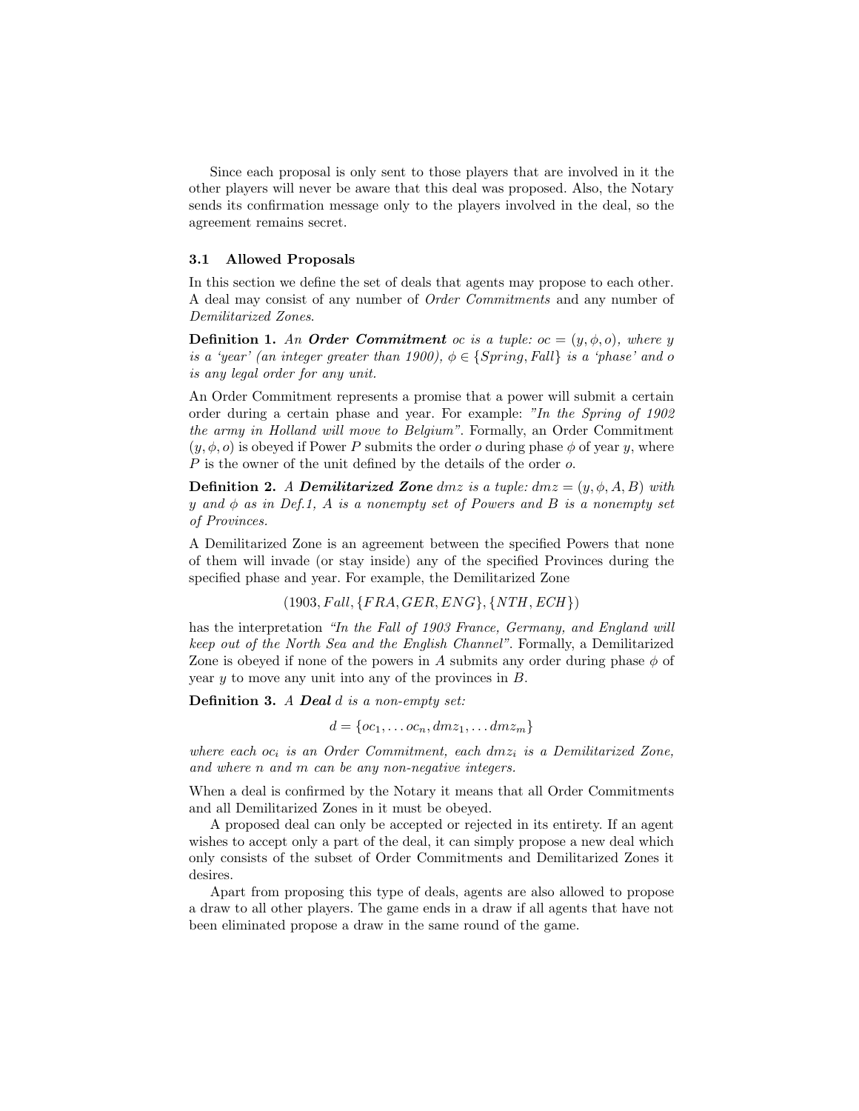Since each proposal is only sent to those players that are involved in it the other players will never be aware that this deal was proposed. Also, the Notary sends its confirmation message only to the players involved in the deal, so the agreement remains secret.

#### 3.1 Allowed Proposals

In this section we define the set of deals that agents may propose to each other. A deal may consist of any number of Order Commitments and any number of Demilitarized Zones.

**Definition 1.** An **Order Commitment** oc is a tuple:  $oc = (y, \phi, o)$ , where y is a 'year' (an integer greater than 1900),  $\phi \in \{Spring, Fall\}$  is a 'phase' and o is any legal order for any unit.

An Order Commitment represents a promise that a power will submit a certain order during a certain phase and year. For example: "In the Spring of 1902 the army in Holland will move to Belgium". Formally, an Order Commitment  $(y, \phi, o)$  is obeyed if Power P submits the order o during phase  $\phi$  of year y, where P is the owner of the unit defined by the details of the order o.

**Definition 2.** A Demilitarized Zone dmz is a tuple:  $dmz = (y, \phi, A, B)$  with y and  $\phi$  as in Def.1, A is a nonempty set of Powers and B is a nonempty set of Provinces.

A Demilitarized Zone is an agreement between the specified Powers that none of them will invade (or stay inside) any of the specified Provinces during the specified phase and year. For example, the Demilitarized Zone

 $(1903, Fall, {FRA, GER, ENG}, {NTH, ECH})$ 

has the interpretation "In the Fall of 1903 France, Germany, and England will keep out of the North Sea and the English Channel". Formally, a Demilitarized Zone is obeyed if none of the powers in A submits any order during phase  $\phi$  of year  $y$  to move any unit into any of the provinces in  $B$ .

Definition 3. A Deal d is a non-empty set:

$$
d = \{oc_1, \ldots oc_n, dmz_1, \ldots dmz_m\}
$$

where each oc<sub>i</sub> is an Order Commitment, each dmz<sub>i</sub> is a Demilitarized Zone, and where n and m can be any non-negative integers.

When a deal is confirmed by the Notary it means that all Order Commitments and all Demilitarized Zones in it must be obeyed.

A proposed deal can only be accepted or rejected in its entirety. If an agent wishes to accept only a part of the deal, it can simply propose a new deal which only consists of the subset of Order Commitments and Demilitarized Zones it desires.

Apart from proposing this type of deals, agents are also allowed to propose a draw to all other players. The game ends in a draw if all agents that have not been eliminated propose a draw in the same round of the game.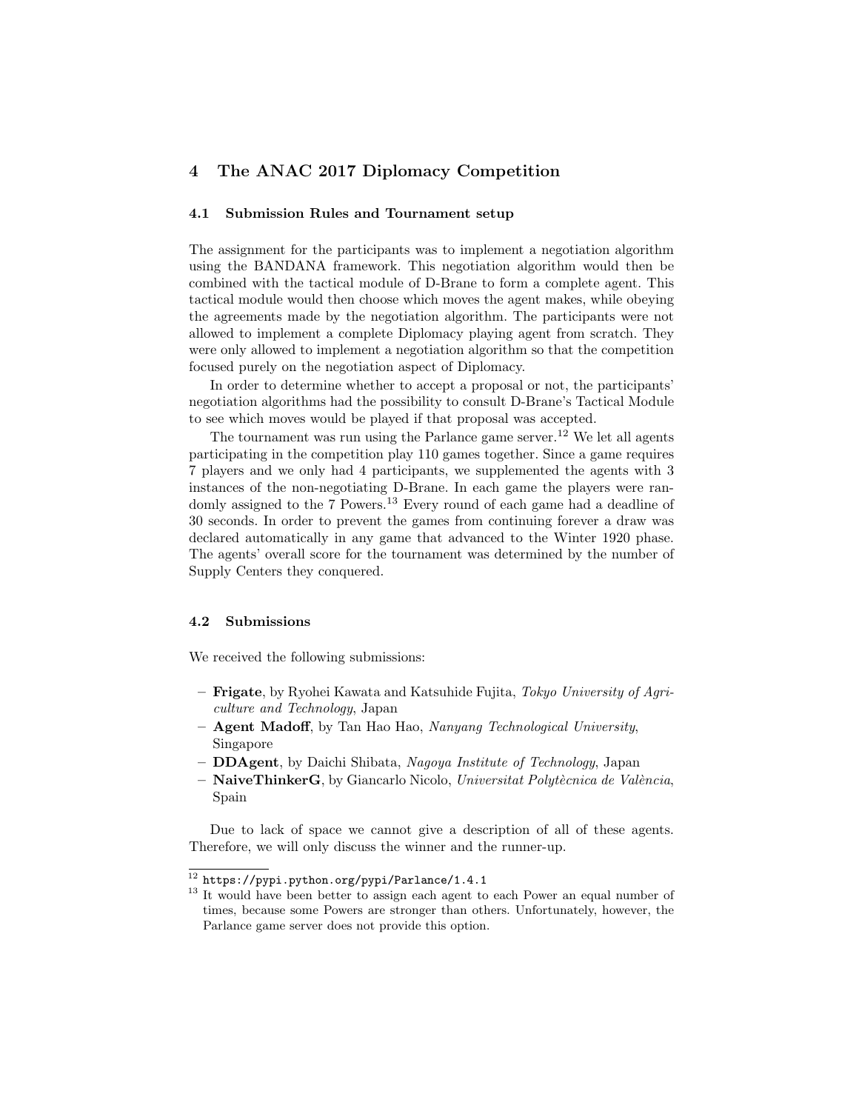## 4 The ANAC 2017 Diplomacy Competition

#### 4.1 Submission Rules and Tournament setup

The assignment for the participants was to implement a negotiation algorithm using the BANDANA framework. This negotiation algorithm would then be combined with the tactical module of D-Brane to form a complete agent. This tactical module would then choose which moves the agent makes, while obeying the agreements made by the negotiation algorithm. The participants were not allowed to implement a complete Diplomacy playing agent from scratch. They were only allowed to implement a negotiation algorithm so that the competition focused purely on the negotiation aspect of Diplomacy.

In order to determine whether to accept a proposal or not, the participants' negotiation algorithms had the possibility to consult D-Brane's Tactical Module to see which moves would be played if that proposal was accepted.

The tournament was run using the Parlance game server.<sup>12</sup> We let all agents participating in the competition play 110 games together. Since a game requires 7 players and we only had 4 participants, we supplemented the agents with 3 instances of the non-negotiating D-Brane. In each game the players were randomly assigned to the 7 Powers.<sup>13</sup> Every round of each game had a deadline of 30 seconds. In order to prevent the games from continuing forever a draw was declared automatically in any game that advanced to the Winter 1920 phase. The agents' overall score for the tournament was determined by the number of Supply Centers they conquered.

#### 4.2 Submissions

We received the following submissions:

- Frigate, by Ryohei Kawata and Katsuhide Fujita, Tokyo University of Agriculture and Technology, Japan
- $-$  Agent Madoff, by Tan Hao Hao, Nanyang Technological University, Singapore
- DDAgent, by Daichi Shibata, Nagoya Institute of Technology, Japan
- $-$  NaiveThinkerG, by Giancarlo Nicolo, Universitat Polytècnica de València, Spain

Due to lack of space we cannot give a description of all of these agents. Therefore, we will only discuss the winner and the runner-up.

 $^{12}$ https://pypi.python.org/pypi/Parlance/1.4.1

<sup>&</sup>lt;sup>13</sup> It would have been better to assign each agent to each Power an equal number of times, because some Powers are stronger than others. Unfortunately, however, the Parlance game server does not provide this option.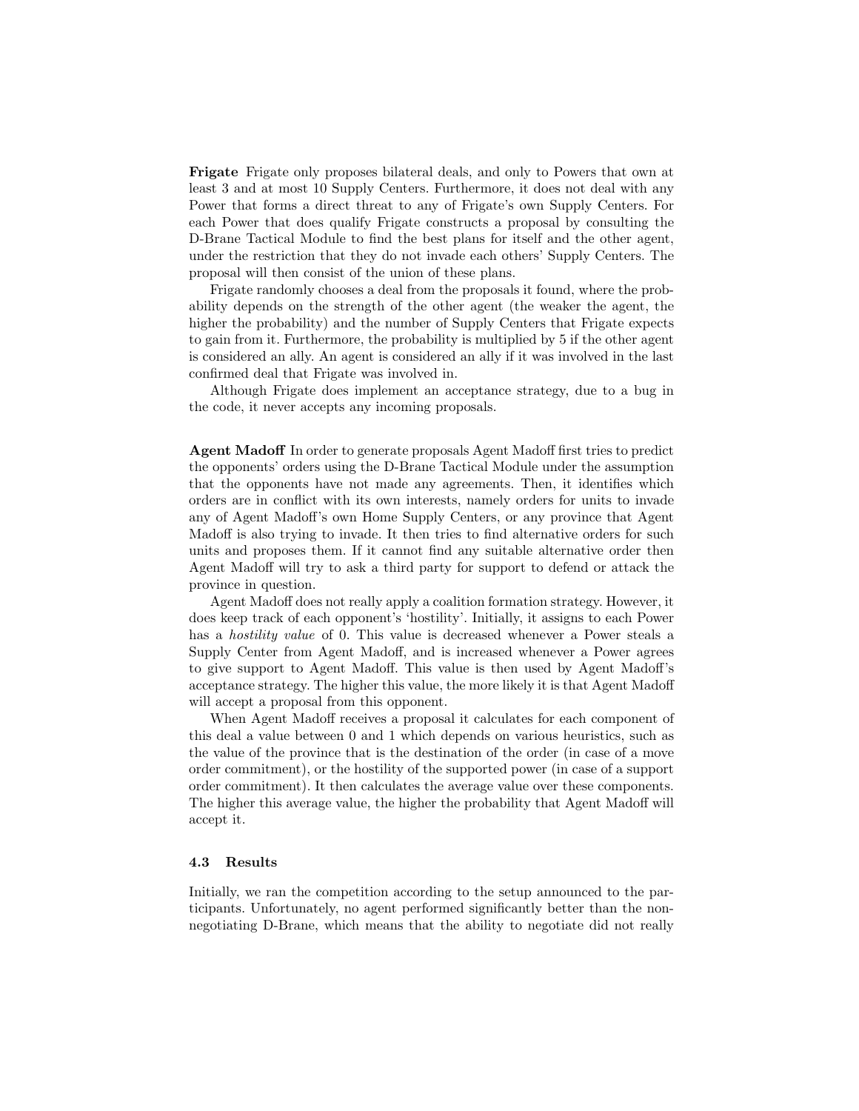Frigate Frigate only proposes bilateral deals, and only to Powers that own at least 3 and at most 10 Supply Centers. Furthermore, it does not deal with any Power that forms a direct threat to any of Frigate's own Supply Centers. For each Power that does qualify Frigate constructs a proposal by consulting the D-Brane Tactical Module to find the best plans for itself and the other agent, under the restriction that they do not invade each others' Supply Centers. The proposal will then consist of the union of these plans.

Frigate randomly chooses a deal from the proposals it found, where the probability depends on the strength of the other agent (the weaker the agent, the higher the probability) and the number of Supply Centers that Frigate expects to gain from it. Furthermore, the probability is multiplied by 5 if the other agent is considered an ally. An agent is considered an ally if it was involved in the last confirmed deal that Frigate was involved in.

Although Frigate does implement an acceptance strategy, due to a bug in the code, it never accepts any incoming proposals.

Agent Madoff In order to generate proposals Agent Madoff first tries to predict the opponents' orders using the D-Brane Tactical Module under the assumption that the opponents have not made any agreements. Then, it identifies which orders are in conflict with its own interests, namely orders for units to invade any of Agent Madoff's own Home Supply Centers, or any province that Agent Madoff is also trying to invade. It then tries to find alternative orders for such units and proposes them. If it cannot find any suitable alternative order then Agent Madoff will try to ask a third party for support to defend or attack the province in question.

Agent Madoff does not really apply a coalition formation strategy. However, it does keep track of each opponent's 'hostility'. Initially, it assigns to each Power has a *hostility value* of 0. This value is decreased whenever a Power steals a Supply Center from Agent Madoff, and is increased whenever a Power agrees to give support to Agent Madoff. This value is then used by Agent Madoff's acceptance strategy. The higher this value, the more likely it is that Agent Madoff will accept a proposal from this opponent.

When Agent Madoff receives a proposal it calculates for each component of this deal a value between 0 and 1 which depends on various heuristics, such as the value of the province that is the destination of the order (in case of a move order commitment), or the hostility of the supported power (in case of a support order commitment). It then calculates the average value over these components. The higher this average value, the higher the probability that Agent Madoff will accept it.

#### 4.3 Results

Initially, we ran the competition according to the setup announced to the participants. Unfortunately, no agent performed significantly better than the nonnegotiating D-Brane, which means that the ability to negotiate did not really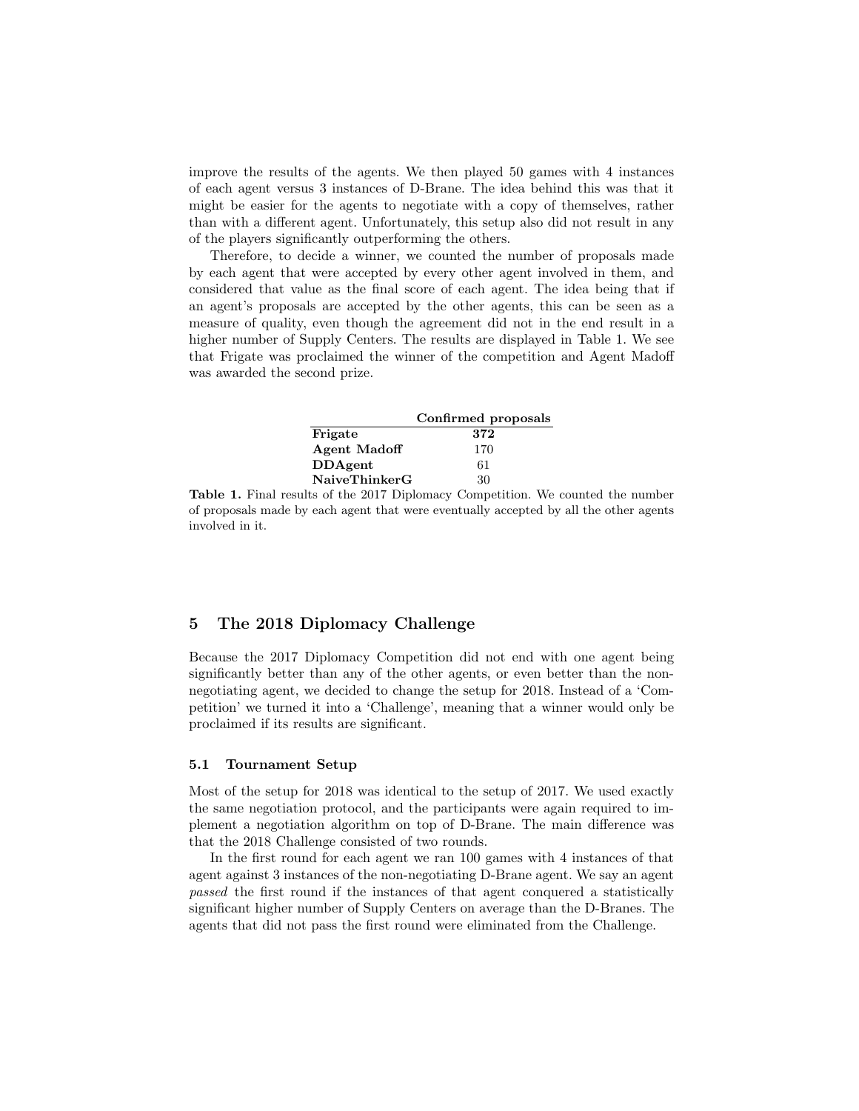improve the results of the agents. We then played 50 games with 4 instances of each agent versus 3 instances of D-Brane. The idea behind this was that it might be easier for the agents to negotiate with a copy of themselves, rather than with a different agent. Unfortunately, this setup also did not result in any of the players significantly outperforming the others.

Therefore, to decide a winner, we counted the number of proposals made by each agent that were accepted by every other agent involved in them, and considered that value as the final score of each agent. The idea being that if an agent's proposals are accepted by the other agents, this can be seen as a measure of quality, even though the agreement did not in the end result in a higher number of Supply Centers. The results are displayed in Table 1. We see that Frigate was proclaimed the winner of the competition and Agent Madoff was awarded the second prize.

|                      | Confirmed proposals |
|----------------------|---------------------|
| Frigate              | 372                 |
| Agent Madoff         | 170                 |
| <b>DDAgent</b>       | 61                  |
| <b>NaiveThinkerG</b> | 30                  |

Table 1. Final results of the 2017 Diplomacy Competition. We counted the number of proposals made by each agent that were eventually accepted by all the other agents involved in it.

## 5 The 2018 Diplomacy Challenge

Because the 2017 Diplomacy Competition did not end with one agent being significantly better than any of the other agents, or even better than the nonnegotiating agent, we decided to change the setup for 2018. Instead of a 'Competition' we turned it into a 'Challenge', meaning that a winner would only be proclaimed if its results are significant.

#### 5.1 Tournament Setup

Most of the setup for 2018 was identical to the setup of 2017. We used exactly the same negotiation protocol, and the participants were again required to implement a negotiation algorithm on top of D-Brane. The main difference was that the 2018 Challenge consisted of two rounds.

In the first round for each agent we ran 100 games with 4 instances of that agent against 3 instances of the non-negotiating D-Brane agent. We say an agent passed the first round if the instances of that agent conquered a statistically significant higher number of Supply Centers on average than the D-Branes. The agents that did not pass the first round were eliminated from the Challenge.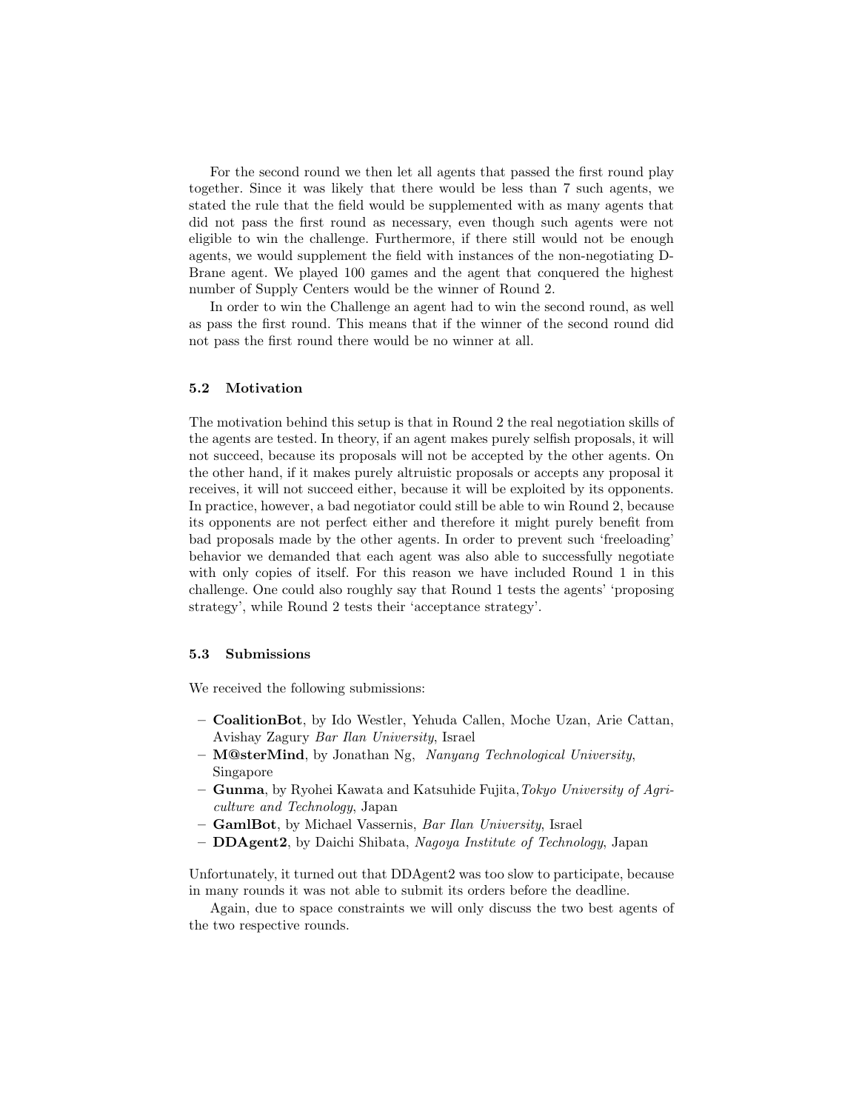For the second round we then let all agents that passed the first round play together. Since it was likely that there would be less than 7 such agents, we stated the rule that the field would be supplemented with as many agents that did not pass the first round as necessary, even though such agents were not eligible to win the challenge. Furthermore, if there still would not be enough agents, we would supplement the field with instances of the non-negotiating D-Brane agent. We played 100 games and the agent that conquered the highest number of Supply Centers would be the winner of Round 2.

In order to win the Challenge an agent had to win the second round, as well as pass the first round. This means that if the winner of the second round did not pass the first round there would be no winner at all.

#### 5.2 Motivation

The motivation behind this setup is that in Round 2 the real negotiation skills of the agents are tested. In theory, if an agent makes purely selfish proposals, it will not succeed, because its proposals will not be accepted by the other agents. On the other hand, if it makes purely altruistic proposals or accepts any proposal it receives, it will not succeed either, because it will be exploited by its opponents. In practice, however, a bad negotiator could still be able to win Round 2, because its opponents are not perfect either and therefore it might purely benefit from bad proposals made by the other agents. In order to prevent such 'freeloading' behavior we demanded that each agent was also able to successfully negotiate with only copies of itself. For this reason we have included Round 1 in this challenge. One could also roughly say that Round 1 tests the agents' 'proposing strategy', while Round 2 tests their 'acceptance strategy'.

#### 5.3 Submissions

We received the following submissions:

- CoalitionBot, by Ido Westler, Yehuda Callen, Moche Uzan, Arie Cattan, Avishay Zagury Bar Ilan University, Israel
- $-$  M**@sterMind**, by Jonathan Ng, Nanyang Technological University, Singapore
- Gunma, by Ryohei Kawata and Katsuhide Fujita,Tokyo University of Agriculture and Technology, Japan
- GamlBot, by Michael Vassernis, Bar Ilan University, Israel
- DDAgent2, by Daichi Shibata, Nagoya Institute of Technology, Japan

Unfortunately, it turned out that DDAgent2 was too slow to participate, because in many rounds it was not able to submit its orders before the deadline.

Again, due to space constraints we will only discuss the two best agents of the two respective rounds.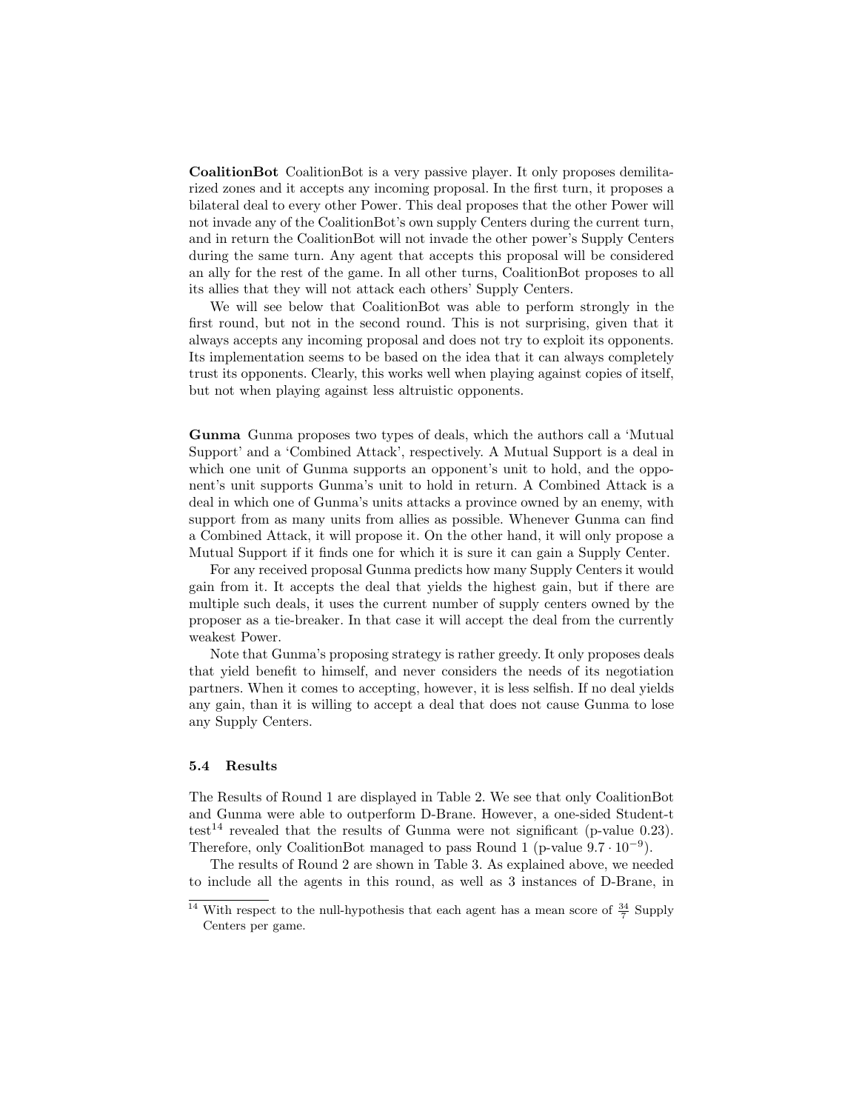CoalitionBot CoalitionBot is a very passive player. It only proposes demilitarized zones and it accepts any incoming proposal. In the first turn, it proposes a bilateral deal to every other Power. This deal proposes that the other Power will not invade any of the CoalitionBot's own supply Centers during the current turn, and in return the CoalitionBot will not invade the other power's Supply Centers during the same turn. Any agent that accepts this proposal will be considered an ally for the rest of the game. In all other turns, CoalitionBot proposes to all its allies that they will not attack each others' Supply Centers.

We will see below that CoalitionBot was able to perform strongly in the first round, but not in the second round. This is not surprising, given that it always accepts any incoming proposal and does not try to exploit its opponents. Its implementation seems to be based on the idea that it can always completely trust its opponents. Clearly, this works well when playing against copies of itself, but not when playing against less altruistic opponents.

Gunma Gunma proposes two types of deals, which the authors call a 'Mutual Support' and a 'Combined Attack', respectively. A Mutual Support is a deal in which one unit of Gunma supports an opponent's unit to hold, and the opponent's unit supports Gunma's unit to hold in return. A Combined Attack is a deal in which one of Gunma's units attacks a province owned by an enemy, with support from as many units from allies as possible. Whenever Gunma can find a Combined Attack, it will propose it. On the other hand, it will only propose a Mutual Support if it finds one for which it is sure it can gain a Supply Center.

For any received proposal Gunma predicts how many Supply Centers it would gain from it. It accepts the deal that yields the highest gain, but if there are multiple such deals, it uses the current number of supply centers owned by the proposer as a tie-breaker. In that case it will accept the deal from the currently weakest Power.

Note that Gunma's proposing strategy is rather greedy. It only proposes deals that yield benefit to himself, and never considers the needs of its negotiation partners. When it comes to accepting, however, it is less selfish. If no deal yields any gain, than it is willing to accept a deal that does not cause Gunma to lose any Supply Centers.

#### 5.4 Results

The Results of Round 1 are displayed in Table 2. We see that only CoalitionBot and Gunma were able to outperform D-Brane. However, a one-sided Student-t test<sup>14</sup> revealed that the results of Gunma were not significant (p-value 0.23). Therefore, only CoalitionBot managed to pass Round 1 (p-value  $9.7 \cdot 10^{-9}$ ).

The results of Round 2 are shown in Table 3. As explained above, we needed to include all the agents in this round, as well as 3 instances of D-Brane, in

<sup>&</sup>lt;sup>14</sup> With respect to the null-hypothesis that each agent has a mean score of  $\frac{34}{7}$  Supply Centers per game.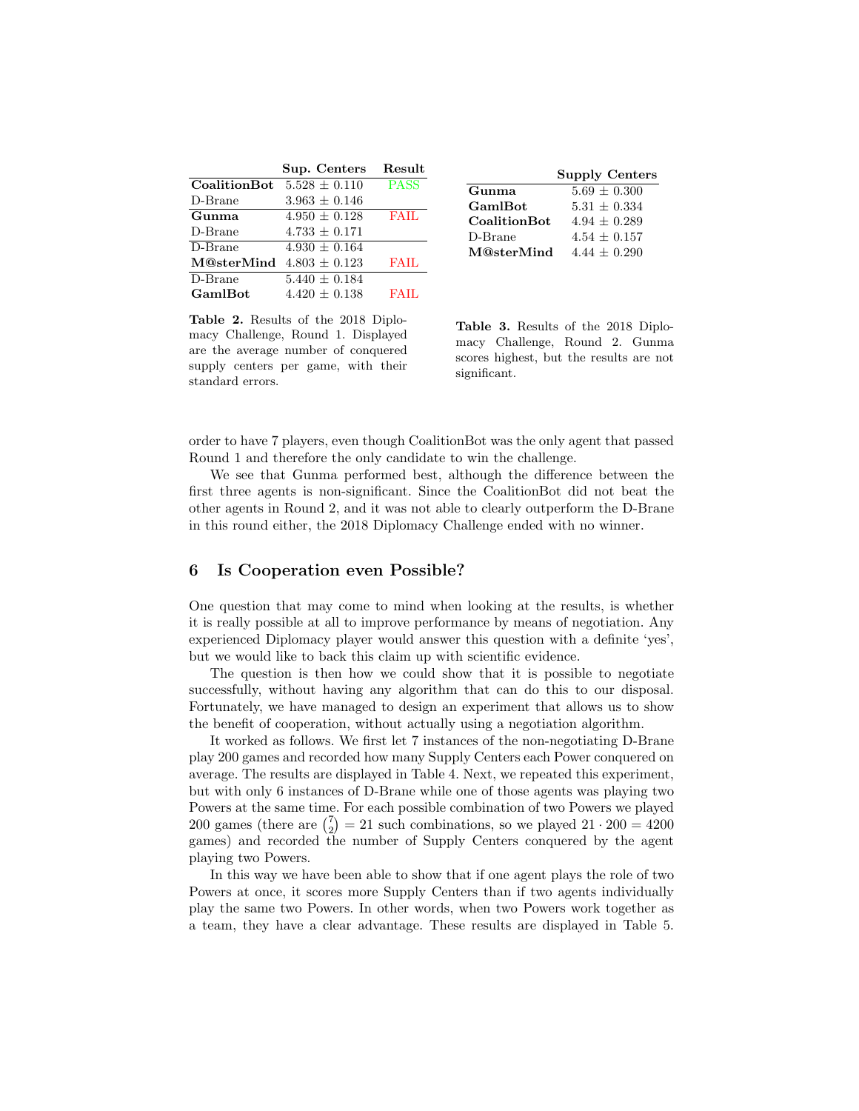|              | Sup. Centers      | Result      |
|--------------|-------------------|-------------|
| CoalitionBot | $5.528 \pm 0.110$ | <b>PASS</b> |
| D-Brane      | $3.963 \pm 0.146$ |             |
| Gunma        | $4.950 + 0.128$   | <b>FAIL</b> |
| D-Brane      | $4.733 \pm 0.171$ |             |
| D-Brane      | $4.930 + 0.164$   |             |
| M@sterMind   | $4.803 + 0.123$   | <b>FAIL</b> |
| D-Brane      | $5.440 \pm 0.184$ |             |
| GamlBot      | $4.420 + 0.138$   | FAIL        |

|              | <b>Supply Centers</b> |
|--------------|-----------------------|
| Gunma        | $5.69 + 0.300$        |
| GamlBot      | $5.31 + 0.334$        |
| CoalitionBot | $4.94 + 0.289$        |
| D-Brane      | $4.54 + 0.157$        |
| M@sterMind   | $4.44 + 0.290$        |

Table 2. Results of the 2018 Diplomacy Challenge, Round 1. Displayed are the average number of conquered supply centers per game, with their standard errors.

Table 3. Results of the 2018 Diplomacy Challenge, Round 2. Gunma scores highest, but the results are not significant.

order to have 7 players, even though CoalitionBot was the only agent that passed Round 1 and therefore the only candidate to win the challenge.

We see that Gunma performed best, although the difference between the first three agents is non-significant. Since the CoalitionBot did not beat the other agents in Round 2, and it was not able to clearly outperform the D-Brane in this round either, the 2018 Diplomacy Challenge ended with no winner.

## 6 Is Cooperation even Possible?

One question that may come to mind when looking at the results, is whether it is really possible at all to improve performance by means of negotiation. Any experienced Diplomacy player would answer this question with a definite 'yes', but we would like to back this claim up with scientific evidence.

The question is then how we could show that it is possible to negotiate successfully, without having any algorithm that can do this to our disposal. Fortunately, we have managed to design an experiment that allows us to show the benefit of cooperation, without actually using a negotiation algorithm.

It worked as follows. We first let 7 instances of the non-negotiating D-Brane play 200 games and recorded how many Supply Centers each Power conquered on average. The results are displayed in Table 4. Next, we repeated this experiment, but with only 6 instances of D-Brane while one of those agents was playing two Powers at the same time. For each possible combination of two Powers we played 200 games (there are  $\binom{7}{2} = 21$  such combinations, so we played  $21 \cdot 200 = 4200$ games) and recorded the number of Supply Centers conquered by the agent playing two Powers.

In this way we have been able to show that if one agent plays the role of two Powers at once, it scores more Supply Centers than if two agents individually play the same two Powers. In other words, when two Powers work together as a team, they have a clear advantage. These results are displayed in Table 5.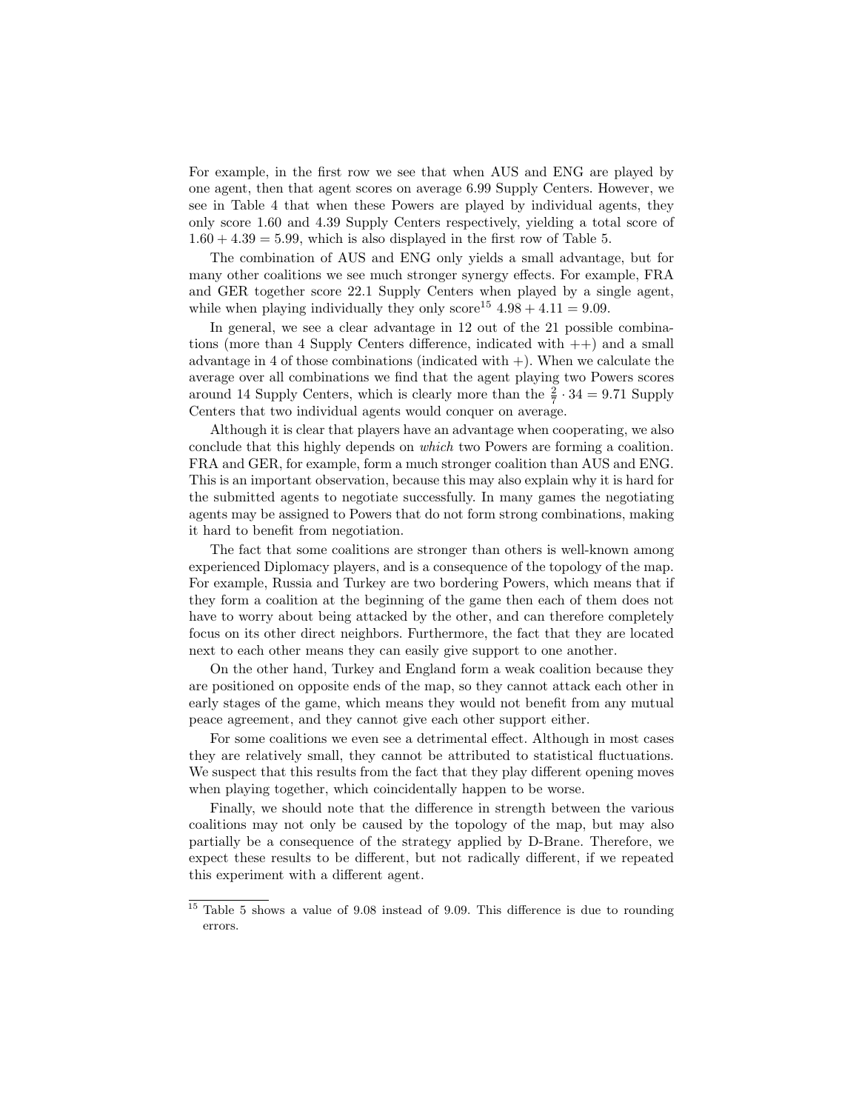For example, in the first row we see that when AUS and ENG are played by one agent, then that agent scores on average 6.99 Supply Centers. However, we see in Table 4 that when these Powers are played by individual agents, they only score 1.60 and 4.39 Supply Centers respectively, yielding a total score of  $1.60 + 4.39 = 5.99$ , which is also displayed in the first row of Table 5.

The combination of AUS and ENG only yields a small advantage, but for many other coalitions we see much stronger synergy effects. For example, FRA and GER together score 22.1 Supply Centers when played by a single agent, while when playing individually they only  $score^{15}$  4.98 + 4.11 = 9.09.

In general, we see a clear advantage in 12 out of the 21 possible combinations (more than 4 Supply Centers difference, indicated with  $++$ ) and a small advantage in 4 of those combinations (indicated with  $+)$ . When we calculate the average over all combinations we find that the agent playing two Powers scores around 14 Supply Centers, which is clearly more than the  $\frac{2}{7} \cdot 34 = 9.71$  Supply Centers that two individual agents would conquer on average.

Although it is clear that players have an advantage when cooperating, we also conclude that this highly depends on which two Powers are forming a coalition. FRA and GER, for example, form a much stronger coalition than AUS and ENG. This is an important observation, because this may also explain why it is hard for the submitted agents to negotiate successfully. In many games the negotiating agents may be assigned to Powers that do not form strong combinations, making it hard to benefit from negotiation.

The fact that some coalitions are stronger than others is well-known among experienced Diplomacy players, and is a consequence of the topology of the map. For example, Russia and Turkey are two bordering Powers, which means that if they form a coalition at the beginning of the game then each of them does not have to worry about being attacked by the other, and can therefore completely focus on its other direct neighbors. Furthermore, the fact that they are located next to each other means they can easily give support to one another.

On the other hand, Turkey and England form a weak coalition because they are positioned on opposite ends of the map, so they cannot attack each other in early stages of the game, which means they would not benefit from any mutual peace agreement, and they cannot give each other support either.

For some coalitions we even see a detrimental effect. Although in most cases they are relatively small, they cannot be attributed to statistical fluctuations. We suspect that this results from the fact that they play different opening moves when playing together, which coincidentally happen to be worse.

Finally, we should note that the difference in strength between the various coalitions may not only be caused by the topology of the map, but may also partially be a consequence of the strategy applied by D-Brane. Therefore, we expect these results to be different, but not radically different, if we repeated this experiment with a different agent.

<sup>&</sup>lt;sup>15</sup> Table 5 shows a value of 9.08 instead of 9.09. This difference is due to rounding errors.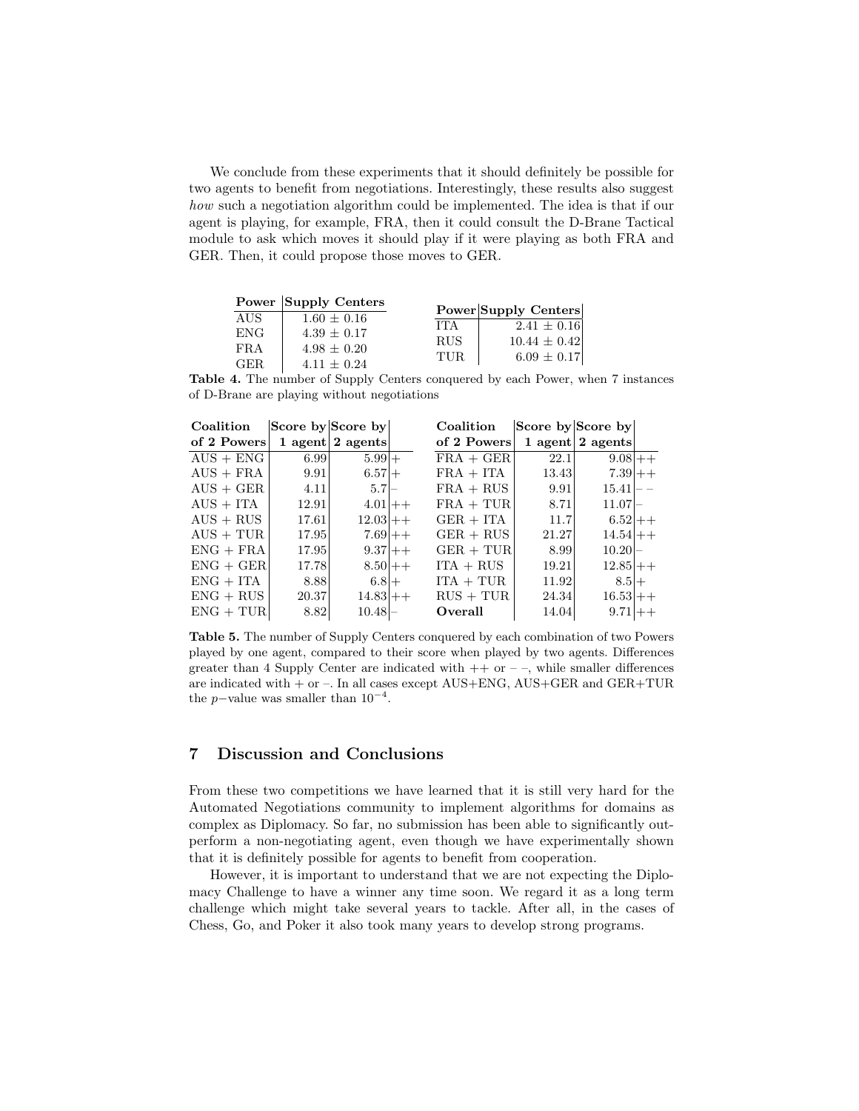We conclude from these experiments that it should definitely be possible for two agents to benefit from negotiations. Interestingly, these results also suggest how such a negotiation algorithm could be implemented. The idea is that if our agent is playing, for example, FRA, then it could consult the D-Brane Tactical module to ask which moves it should play if it were playing as both FRA and GER. Then, it could propose those moves to GER.

|            | <b>Power Supply Centers</b> |            | Power Supply Centers |
|------------|-----------------------------|------------|----------------------|
| <b>AUS</b> | $1.60 \pm 0.16$             | <b>TTA</b> | $2.41 \pm 0.16$      |
| <b>ENG</b> | $4.39 + 0.17$               | <b>RUS</b> | $10.44 \pm 0.42$     |
| FR.A       | $4.98 + 0.20$               | TUR        | $6.09 \pm 0.17$      |
| GER.       | $4.11 + 0.24$               |            |                      |

Table 4. The number of Supply Centers conquered by each Power, when 7 instances of D-Brane are playing without negotiations

| Coalition   |       | Score by Score by | Coalition                 |       | Score by Score by  |  |
|-------------|-------|-------------------|---------------------------|-------|--------------------|--|
| of 2 Powers |       | 1 agent 2 agents  | of 2 Powers               |       | 1 agent $2$ agents |  |
| $AUS + ENG$ | 6.99  | $5.99 +$          | $FRA + GER$               | 22.1  | $9.08 + +$         |  |
| $AUS + FRA$ | 9.91  | $6.57+$           | $\text{FRA} + \text{ITA}$ | 13.43 | $7.39 + +$         |  |
| $AUS + GER$ | 4.11  | $5.7 -$           | $FRA + RUS$               | 9.91  | $15.41 - -$        |  |
| $AUS + ITA$ | 12.91 | $4.01 + +$        | $FRA + TUR$               | 8.71  | $11.07 -$          |  |
| $AUS + RUS$ | 17.61 | $12.03++$         | $GER + ITA$               | 11.7  | $6.52 + +$         |  |
| $AUS + TUR$ | 17.95 | $7.69++$          | $GER + RUS$               | 21.27 | $14.54$ +          |  |
| $ENG + FRA$ | 17.95 | $9.37 + +$        | $GER + TUR$               | 8.99  | $10.20 -$          |  |
| $ENG + GER$ | 17.78 | $8.50 + +$        | $ITA + RUS$               | 19.21 | $12.85 + +$        |  |
| $ENG + ITA$ | 8.88  | $6.8 +$           | $ITA + TUR$               | 11.92 | $8.5+$             |  |
| $ENG + RUS$ | 20.37 | $14.83 + +$       | $RUS + TUR$               | 24.34 | $16.53++$          |  |
| $ENG + TUR$ | 8.82  | $10.48 -$         | Overall                   | 14.04 | $9.71 ++$          |  |

Table 5. The number of Supply Centers conquered by each combination of two Powers played by one agent, compared to their score when played by two agents. Differences greater than 4 Supply Center are indicated with  $++$  or  $-$ , while smaller differences are indicated with + or –. In all cases except AUS+ENG, AUS+GER and GER+TUR the *p*−value was smaller than  $10^{-4}$ .

## 7 Discussion and Conclusions

From these two competitions we have learned that it is still very hard for the Automated Negotiations community to implement algorithms for domains as complex as Diplomacy. So far, no submission has been able to significantly outperform a non-negotiating agent, even though we have experimentally shown that it is definitely possible for agents to benefit from cooperation.

However, it is important to understand that we are not expecting the Diplomacy Challenge to have a winner any time soon. We regard it as a long term challenge which might take several years to tackle. After all, in the cases of Chess, Go, and Poker it also took many years to develop strong programs.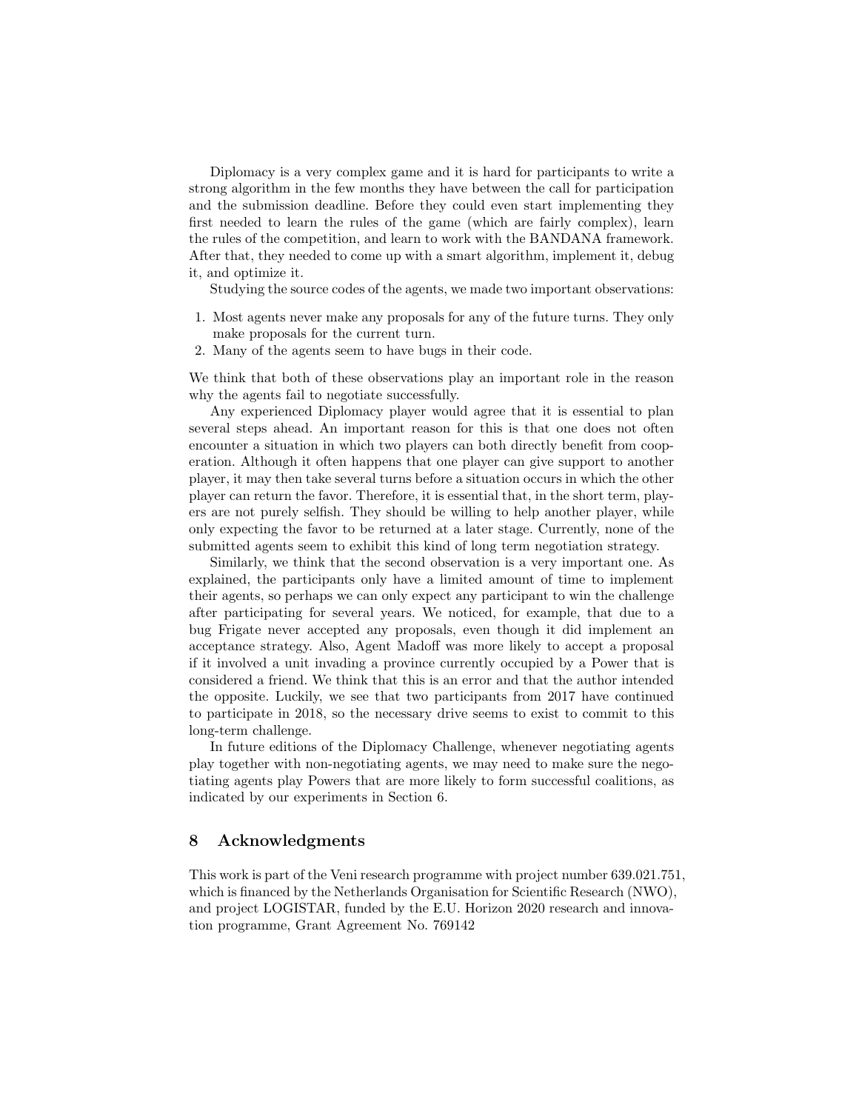Diplomacy is a very complex game and it is hard for participants to write a strong algorithm in the few months they have between the call for participation and the submission deadline. Before they could even start implementing they first needed to learn the rules of the game (which are fairly complex), learn the rules of the competition, and learn to work with the BANDANA framework. After that, they needed to come up with a smart algorithm, implement it, debug it, and optimize it.

Studying the source codes of the agents, we made two important observations:

- 1. Most agents never make any proposals for any of the future turns. They only make proposals for the current turn.
- 2. Many of the agents seem to have bugs in their code.

We think that both of these observations play an important role in the reason why the agents fail to negotiate successfully.

Any experienced Diplomacy player would agree that it is essential to plan several steps ahead. An important reason for this is that one does not often encounter a situation in which two players can both directly benefit from cooperation. Although it often happens that one player can give support to another player, it may then take several turns before a situation occurs in which the other player can return the favor. Therefore, it is essential that, in the short term, players are not purely selfish. They should be willing to help another player, while only expecting the favor to be returned at a later stage. Currently, none of the submitted agents seem to exhibit this kind of long term negotiation strategy.

Similarly, we think that the second observation is a very important one. As explained, the participants only have a limited amount of time to implement their agents, so perhaps we can only expect any participant to win the challenge after participating for several years. We noticed, for example, that due to a bug Frigate never accepted any proposals, even though it did implement an acceptance strategy. Also, Agent Madoff was more likely to accept a proposal if it involved a unit invading a province currently occupied by a Power that is considered a friend. We think that this is an error and that the author intended the opposite. Luckily, we see that two participants from 2017 have continued to participate in 2018, so the necessary drive seems to exist to commit to this long-term challenge.

In future editions of the Diplomacy Challenge, whenever negotiating agents play together with non-negotiating agents, we may need to make sure the negotiating agents play Powers that are more likely to form successful coalitions, as indicated by our experiments in Section 6.

## 8 Acknowledgments

This work is part of the Veni research programme with project number 639.021.751, which is financed by the Netherlands Organisation for Scientific Research (NWO), and project LOGISTAR, funded by the E.U. Horizon 2020 research and innovation programme, Grant Agreement No. 769142